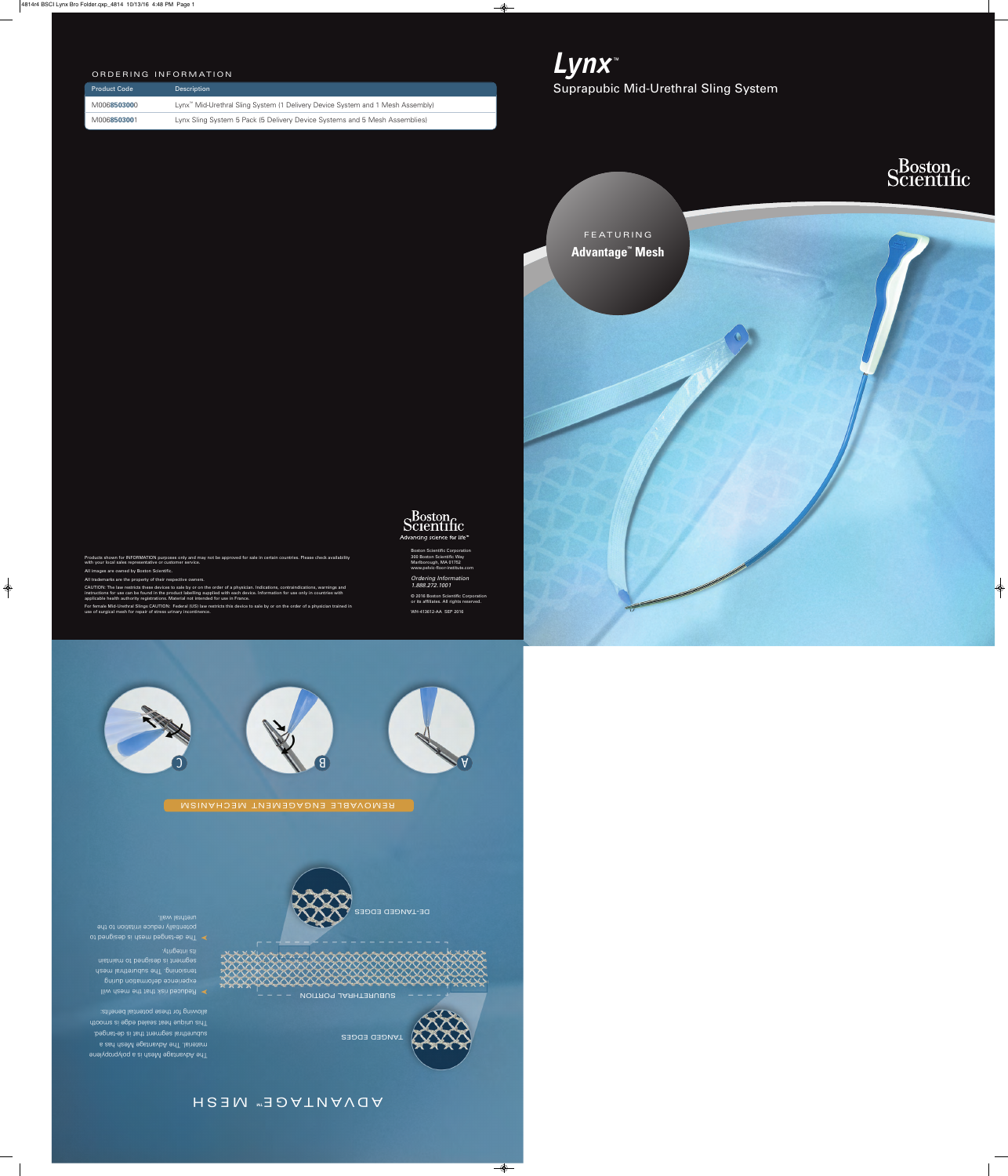

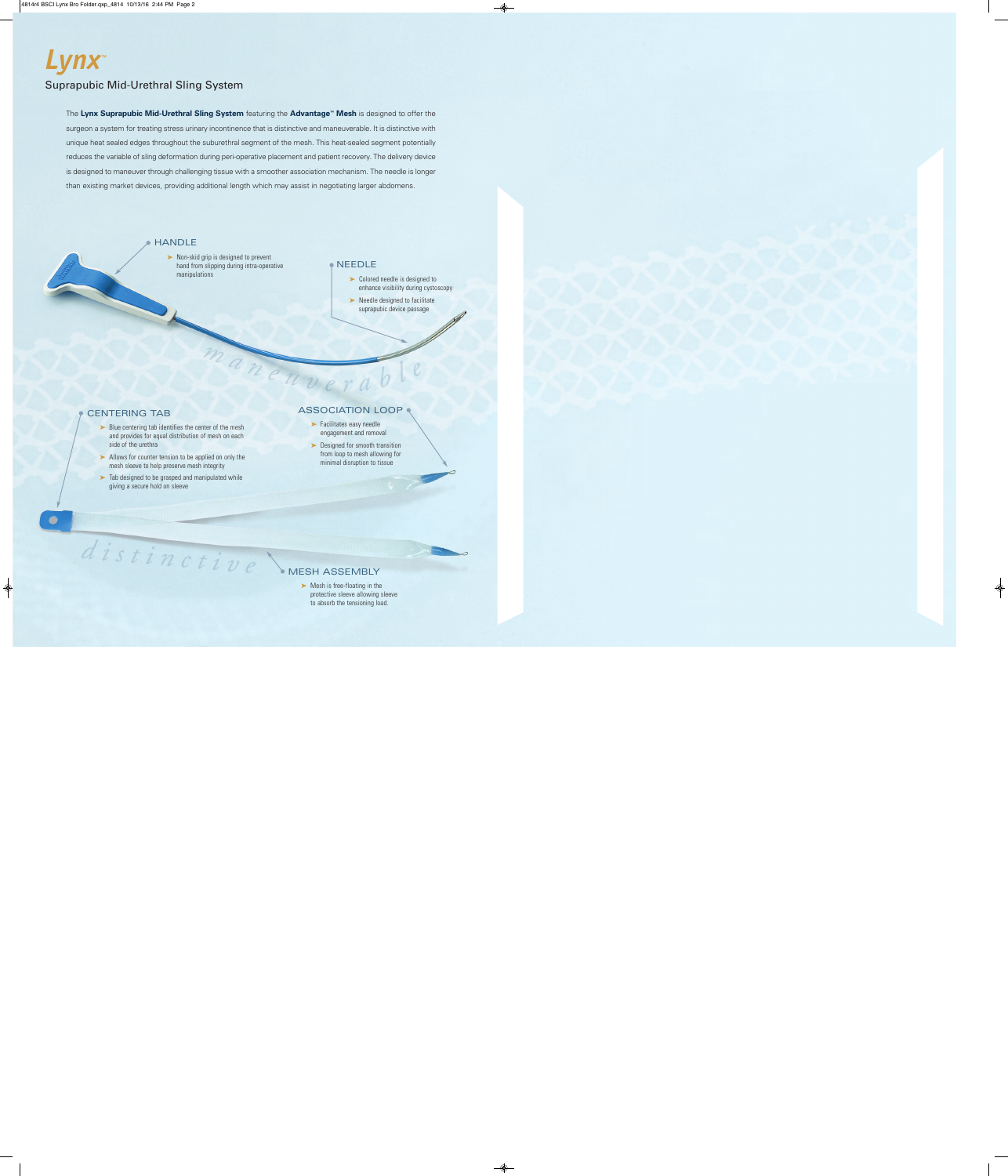# *Lynx™* Suprapubic Mid-Urethral Sling System

The **Lynx Suprapubic Mid-Urethral Sling System** featuring the **Advantage™ Mesh** is designed to offer the surgeon a system for treating stress urinary incontinence that is distinctive and maneuverable. It is distinctive with unique heat sealed edges throughout the suburethral segment of the mesh. This heat-sealed segment potentially reduces the variable of sling deformation during peri-operative placement and patient recovery. The delivery device is designed to maneuver through challenging tissue with a smoother association mechanism. The needle is longer than existing market devices, providing additional length which may assist in negotiating larger abdomens.

maneuv

## **HANDLE**

**➤** Non-skid grip is designed to prevent hand from slipping during intra-operative manipulations

#### NEEDLE

- **➤** Colored needle is designed to enhance visibility during cystoscopy
- **➤** Needle designed to facilitate suprapubic device passage

### CENTERING TAB

- ► Blue centering tab identifies the center of the mesh and provides for equal distribution of mesh on each side of the urethra
- **➤** Allows for counter tension to be applied on only the mesh sleeve to help preserve mesh integrity
- **➤** Tab designed to be grasped and manipulated while giving a secure hold on sleeve

distinctive

#### ASSOCIATION LOOP

- **➤** Facilitates easy needle engagement and removal
- ► Designed for smooth transition from loop to mesh allowing for minimal disruption to tissue

#### MESH ASSEMBLY

► Mesh is free-floating in the protective sleeve allowing sleeve to absorb the tensioning load.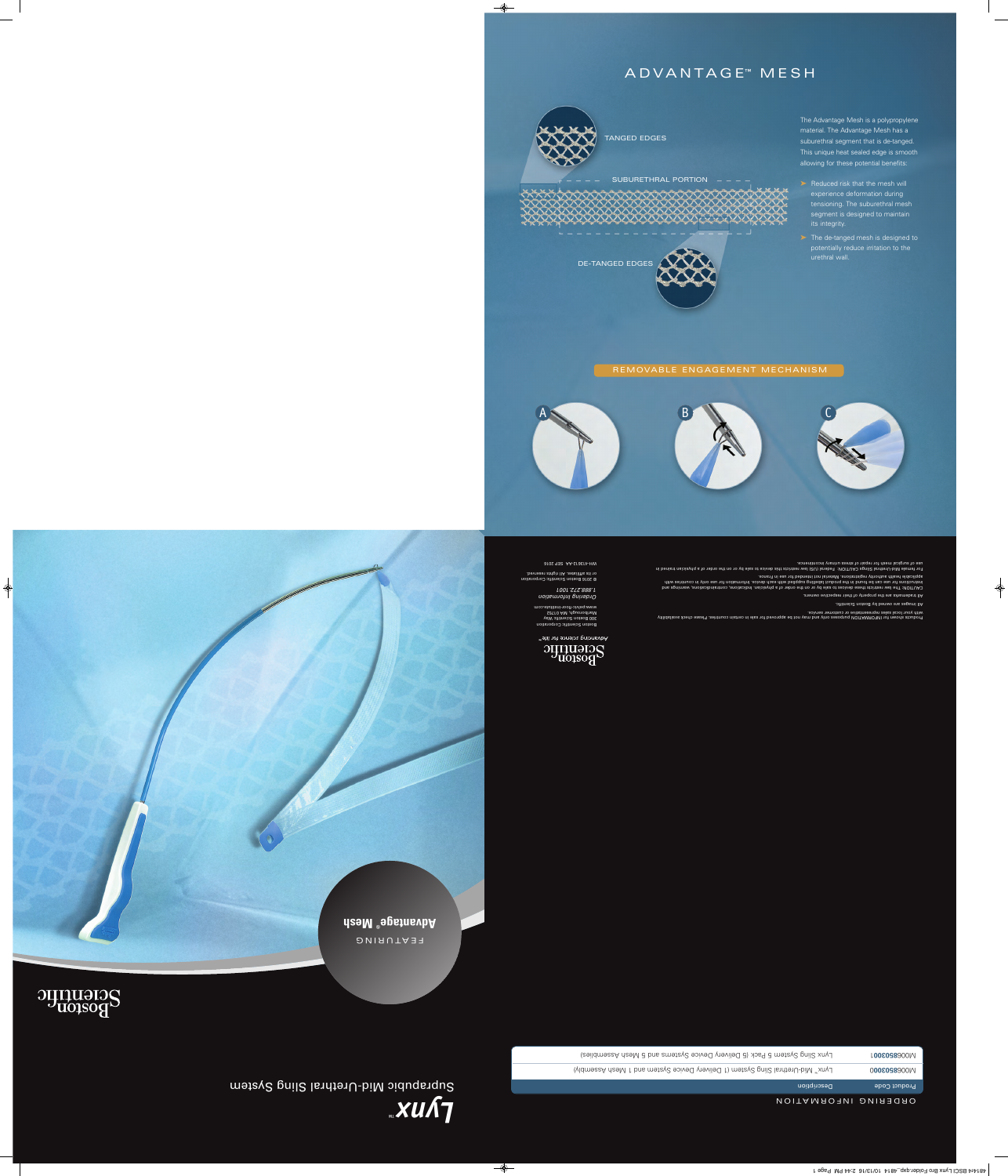# A D V A N T A G E™ M E S H



The Advantage Mesh is a polypropylene material. The Advantage Mesh has a suburethral segment that is de-tanged. This unique heat sealed edge is smooth allowing for these potential benefits:

- **➤** Reduced risk that the mesh will experience deformation during tensioning. The suburethral mesh segment is designed to maintain its integrity.
- **➤** The de-tanged mesh is designed to potentially reduce irritation to the urethral wall.

#### REMOVABLE ENGAGEMENT MECHANISM